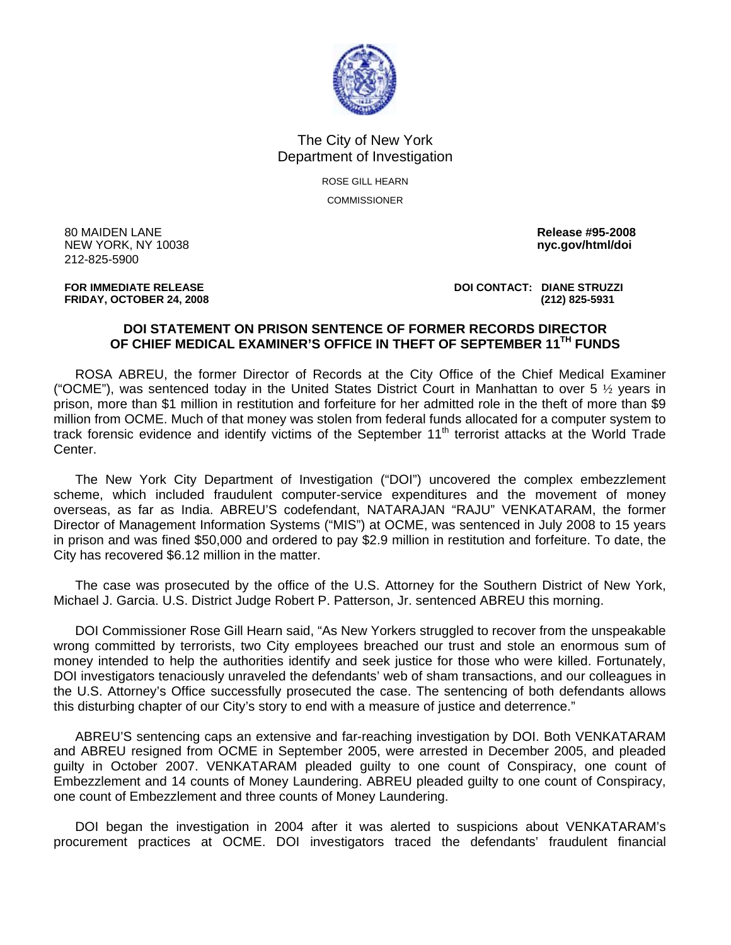

## The City of New York Department of Investigation

ROSE GILL HEARN **COMMISSIONER** 

80 MAIDEN LANE **Release #95-2008**  NEW YORK, NY 10038 **nyc.gov/html/doi**  212-825-5900

**FOR IMMEDIATE RELEASE DOI CONTACT: DIANE STRUZZI FRIDAY, OCTOBER 24, 2008 (212) 825-5931** 

## **DOI STATEMENT ON PRISON SENTENCE OF FORMER RECORDS DIRECTOR OF CHIEF MEDICAL EXAMINER'S OFFICE IN THEFT OF SEPTEMBER 11TH FUNDS**

ROSA ABREU, the former Director of Records at the City Office of the Chief Medical Examiner ("OCME"), was sentenced today in the United States District Court in Manhattan to over 5  $\frac{1}{2}$  years in prison, more than \$1 million in restitution and forfeiture for her admitted role in the theft of more than \$9 million from OCME. Much of that money was stolen from federal funds allocated for a computer system to track forensic evidence and identify victims of the September 11<sup>th</sup> terrorist attacks at the World Trade Center.

The New York City Department of Investigation ("DOI") uncovered the complex embezzlement scheme, which included fraudulent computer-service expenditures and the movement of money overseas, as far as India. ABREU'S codefendant, NATARAJAN "RAJU" VENKATARAM, the former Director of Management Information Systems ("MIS") at OCME, was sentenced in July 2008 to 15 years in prison and was fined \$50,000 and ordered to pay \$2.9 million in restitution and forfeiture. To date, the City has recovered \$6.12 million in the matter.

The case was prosecuted by the office of the U.S. Attorney for the Southern District of New York, Michael J. Garcia. U.S. District Judge Robert P. Patterson, Jr. sentenced ABREU this morning.

DOI Commissioner Rose Gill Hearn said, "As New Yorkers struggled to recover from the unspeakable wrong committed by terrorists, two City employees breached our trust and stole an enormous sum of money intended to help the authorities identify and seek justice for those who were killed. Fortunately, DOI investigators tenaciously unraveled the defendants' web of sham transactions, and our colleagues in the U.S. Attorney's Office successfully prosecuted the case. The sentencing of both defendants allows this disturbing chapter of our City's story to end with a measure of justice and deterrence."

ABREU'S sentencing caps an extensive and far-reaching investigation by DOI. Both VENKATARAM and ABREU resigned from OCME in September 2005, were arrested in December 2005, and pleaded guilty in October 2007. VENKATARAM pleaded guilty to one count of Conspiracy, one count of Embezzlement and 14 counts of Money Laundering. ABREU pleaded guilty to one count of Conspiracy, one count of Embezzlement and three counts of Money Laundering.

DOI began the investigation in 2004 after it was alerted to suspicions about VENKATARAM's procurement practices at OCME. DOI investigators traced the defendants' fraudulent financial